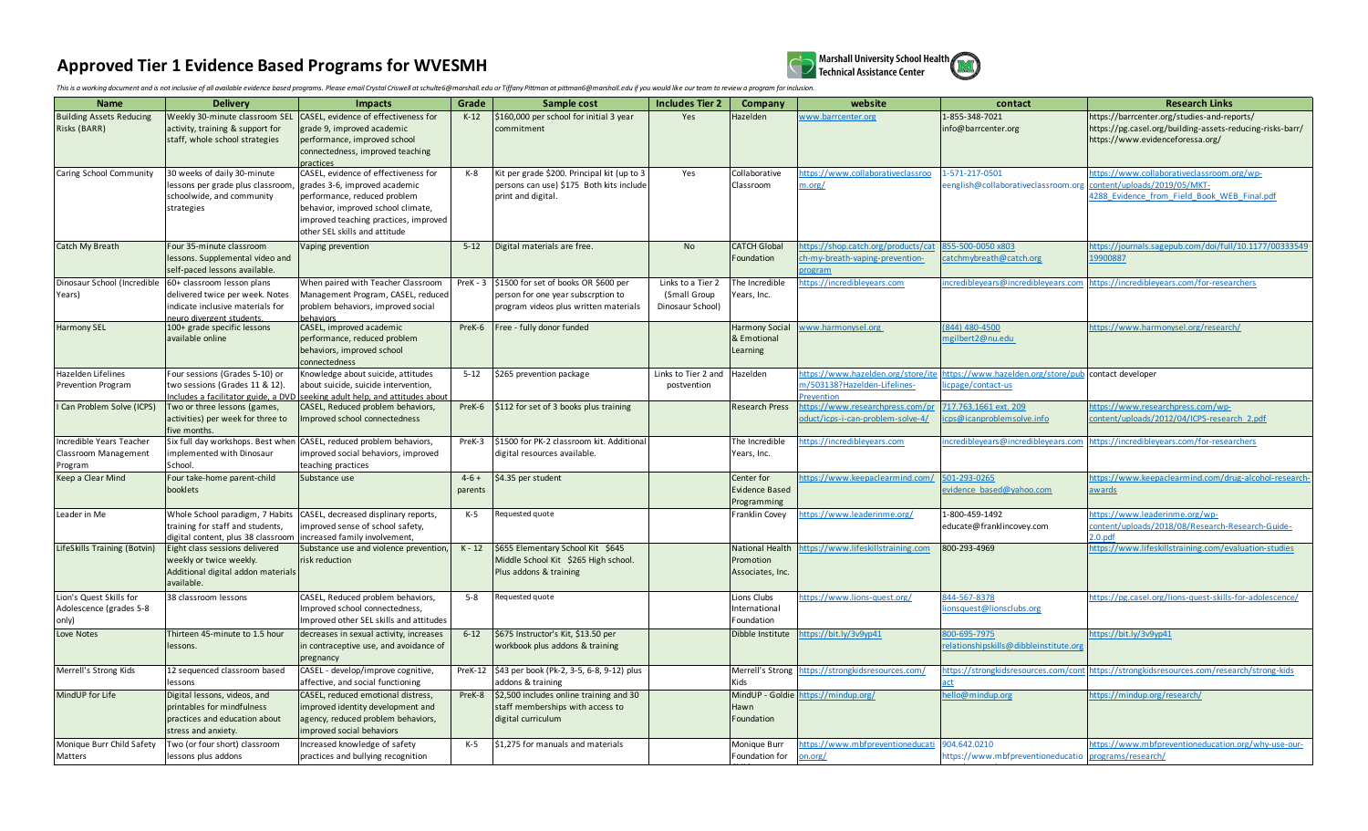## **Approved Tier 1 Evidence Based Programs for WVESMH**



This is a working document and is not inclusive of all available evidence based programs. Please email Crystal Criswell at schulte6@marshall.edu or Tiffany Pittman at pittman6@marshall.edu if you would like our team to rev

| <b>Name</b>                                                 | <b>Delivery</b>                                                                                                                                            | <b>Impacts</b>                                                                                                                                                                                                        | Grade             | Sample cost                                                                                                                  | <b>Includes Tier 2</b>                                | Company                                            | website                                                                                 | contact                                                                  | <b>Research Links</b>                                                                                                                        |
|-------------------------------------------------------------|------------------------------------------------------------------------------------------------------------------------------------------------------------|-----------------------------------------------------------------------------------------------------------------------------------------------------------------------------------------------------------------------|-------------------|------------------------------------------------------------------------------------------------------------------------------|-------------------------------------------------------|----------------------------------------------------|-----------------------------------------------------------------------------------------|--------------------------------------------------------------------------|----------------------------------------------------------------------------------------------------------------------------------------------|
| <b>Building Assets Reducing</b><br>Risks (BARR)             | Weekly 30-minute classroom SEI<br>activity, training & support for<br>staff, whole school strategies                                                       | CASEL, evidence of effectiveness for<br>grade 9, improved academic<br>performance, improved school<br>connectedness, improved teaching<br><b>practices</b>                                                            | $K-12$            | \$160,000 per school for initial 3 year<br>commitment                                                                        | Yes                                                   | lazelden                                           | vww.barrcenter.org                                                                      | 1-855-348-7021<br>info@barrcenter.org                                    | https://barrcenter.org/studies-and-reports/<br>https://pg.casel.org/building-assets-reducing-risks-barr/<br>https://www.evidenceforessa.org/ |
| Caring School Community                                     | 30 weeks of daily 30-minute<br>lessons per grade plus classroom<br>schoolwide, and community<br>strategies                                                 | CASEL, evidence of effectiveness for<br>grades 3-6, improved academic<br>performance, reduced problem<br>behavior, improved school climate,<br>improved teaching practices, improved<br>other SEL skills and attitude | $K-8$             | Kit per grade \$200. Principal kit (up to 3<br>persons can use) \$175 Both kits include<br>print and digital.                | Yes                                                   | Collaborative<br>Classroom                         | https://www.collaborativeclassroo<br>m.org/                                             | 1-571-217-0501<br>eenglish@collaborativeclassroom.org                    | ttps://www.collaborativeclassroom.org/wp-<br>content/uploads/2019/05/MKT-<br>4288 Evidence from Field Book WEB Final.pdf                     |
| Catch My Breath                                             | Four 35-minute classroom<br>lessons. Supplemental video and<br>self-paced lessons available.                                                               | Vaping prevention                                                                                                                                                                                                     | $5 - 12$          | Digital materials are free.                                                                                                  | <b>No</b>                                             | <b>CATCH Global</b><br>Foundation                  | https://shop.catch.org/products/cat<br>h-my-breath-vaping-prevention-<br><b>program</b> | 855-500-0050 x803<br>atchmybreath@catch.org                              | https://journals.sagepub.com/doi/full/10.1177/00333549<br>19900887                                                                           |
| Years)                                                      | Dinosaur School (Incredible 60+ classroom lesson plans<br>delivered twice per week. Notes<br>indicate inclusive materials for<br>neuro divergent students. | When paired with Teacher Classroom<br>Management Program, CASEL, reduced<br>problem behaviors, improved social<br>oehaviors                                                                                           |                   | PreK - 3 \$1500 for set of books OR \$600 per<br>person for one year subscrption to<br>program videos plus written materials | Links to a Tier 2<br>(Small Group<br>Dinosaur School) | The Incredible<br>Years, Inc.                      | nttps://incredibleyears.com                                                             | incredibleyears@incredibleyears.con                                      | https://incredibleyears.com/for-researchers                                                                                                  |
| <b>Harmony SEL</b>                                          | 100+ grade specific lessons<br>available online                                                                                                            | CASEL, improved academic<br>performance, reduced problem<br>behaviors, improved school<br>connectedness                                                                                                               |                   | PreK-6   Free - fully donor funded                                                                                           |                                                       | <b>Harmony Social</b><br>& Emotional<br>Learning   | vww.harmonysel.org                                                                      | 844) 480-4500<br>ngilbert2@nu.edu                                        | ttps://www.harmonysel.org/research/                                                                                                          |
| Hazelden Lifelines<br>Prevention Program                    | Four sessions (Grades 5-10) or<br>two sessions (Grades 11 & 12).<br>Includes a facilitator guide, a DVD                                                    | Knowledge about suicide, attitudes<br>about suicide, suicide intervention,<br>seeking adult help, and attitudes abo                                                                                                   | $5 - 12$          | \$265 prevention package                                                                                                     | Links to Tier 2 and<br>postvention                    | Hazelden                                           | https://www.hazelden.org/store/ite<br>m/503138?Hazelden-Lifelines-<br><b>Prevention</b> | https://www.hazelden.org/store/pub contact developer<br>cpage/contact-us |                                                                                                                                              |
| I Can Problem Solve (ICPS)                                  | Two or three lessons (games,<br>activities) per week for three to<br>five months.                                                                          | CASEL, Reduced problem behaviors,<br>Improved school connectedness                                                                                                                                                    | PreK-6            | \$112 for set of 3 books plus training                                                                                       |                                                       | <b>Research Press</b>                              | nttps://www.researchpress.com/p<br>oduct/icps-i-can-problem-solve-4/                    | 717.763.1661 ext. 209<br>cps@icanproblemsolve.info                       | ttps://www.researchpress.com/wp-<br>ontent/uploads/2012/04/ICPS-research 2.pdf                                                               |
| Incredible Years Teacher<br>Classroom Management<br>Program | Six full day workshops. Best whe<br>implemented with Dinosaur<br>School.                                                                                   | CASEL, reduced problem behaviors,<br>improved social behaviors, improved<br>teaching practices                                                                                                                        | PreK-3            | \$1500 for PK-2 classroom kit. Additiona<br>digital resources available.                                                     |                                                       | The Incredible<br>Years, Inc.                      | ttps://incredibleyears.com                                                              | ncredibleyears@incredibleyears.con                                       | https://incredibleyears.com/for-researchers                                                                                                  |
| Keep a Clear Mind                                           | Four take-home parent-child<br>booklets                                                                                                                    | Substance use                                                                                                                                                                                                         | $4-6+$<br>parents | \$4.35 per student                                                                                                           |                                                       | Center for<br><b>Evidence Based</b><br>Programming | ttps://www.keepaclearmind.com,                                                          | 501-293-0265<br>evidence based@yahoo.com                                 | ttps://www.keepaclearmind.com/drug-alcohol-research<br>awards                                                                                |
| Leader in Me                                                | Whole School paradigm, 7 Habits<br>training for staff and students,<br>digital content, plus 38 classroon                                                  | CASEL, decreased displinary reports,<br>improved sense of school safety,<br>increased family involvement,                                                                                                             | $K-5$             | Requested quote                                                                                                              |                                                       | Franklin Covey                                     | ttps://www.leaderinme.org/                                                              | 1-800-459-1492<br>educate@franklincovey.com                              | ttps://www.leaderinme.org/wp-<br>content/uploads/2018/08/Research-Research-Guide-<br>2.0.pdf                                                 |
| LifeSkills Training (Botvin)                                | Eight class sessions delivered<br>weekly or twice weekly.<br>Additional digital addon materials<br>available.                                              | Substance use and violence prevention,<br>risk reduction                                                                                                                                                              | $K - 12$          | \$655 Elementary School Kit \$645<br>Middle School Kit \$265 High school.<br>Plus addons & training                          |                                                       | National Health<br>Promotion<br>Associates, Inc.   | nttps://www.lifeskillstraining.com                                                      | 800-293-4969                                                             | ttps://www.lifeskillstraining.com/evaluation-studies                                                                                         |
| Lion's Quest Skills for<br>Adolescence (grades 5-8<br>only) | 38 classroom lessons                                                                                                                                       | CASEL, Reduced problem behaviors,<br>Improved school connectedness,<br>Improved other SEL skills and attitudes                                                                                                        | $5 - 8$           | Requested quote                                                                                                              |                                                       | Lions Clubs<br>nternational<br>Foundation          | https://www.lions-quest.org/                                                            | 844-567-8378<br>ionsquest@lionsclubs.org                                 | ttps://pg.casel.org/lions-quest-skills-for-adolescence/                                                                                      |
| Love Notes                                                  | Thirteen 45-minute to 1.5 hour<br>lessons.                                                                                                                 | decreases in sexual activity, increases<br>in contraceptive use, and avoidance of<br>pregnancy                                                                                                                        | $6 - 12$          | \$675 Instructor's Kit, \$13.50 per<br>workbook plus addons & training                                                       |                                                       | Dibble Institute                                   | ttps://bit.ly/3v9yp41                                                                   | 800-695-7975<br>elationshipskills@dibbleinstitute.org                    | ttps://bit.ly/3v9yp41                                                                                                                        |
| Merrell's Strong Kids                                       | 12 sequenced classroom based<br>lessons                                                                                                                    | CASEL - develop/improve cognitive,<br>affective, and social functioning                                                                                                                                               |                   | PreK-12 \$43 per book (Pk-2, 3-5, 6-8, 9-12) plus<br>addons & training                                                       |                                                       | Merrell's Strong<br>Kids                           | https://strongkidsresources.com/                                                        | https://strongkidsresources.com/cor                                      | https://strongkidsresources.com/research/strong-kids                                                                                         |
| MindUP for Life                                             | Digital lessons, videos, and<br>printables for mindfulness<br>practices and education about<br>stress and anxiety.                                         | CASEL, reduced emotional distress,<br>improved identity development and<br>agency, reduced problem behaviors,<br>improved social behaviors                                                                            | PreK-8            | \$2,500 includes online training and 30<br>staff memberships with access to<br>digital curriculum                            |                                                       | MindUP - Goldie<br>Hawn<br>Foundation              | sttps://mindup.org/                                                                     | ello@mindup.org                                                          | ttps://mindup.org/research/                                                                                                                  |
| Monique Burr Child Safety<br>Matters                        | Two (or four short) classroom<br>lessons plus addons                                                                                                       | Increased knowledge of safety<br>practices and bullying recognition                                                                                                                                                   | K-5               | \$1,275 for manuals and materials                                                                                            |                                                       | Monique Burr<br>Foundation for                     | ttps://www.mbfpreventioneducati<br>m.org/                                               | 904.642.0210<br>https://www.mbfpreventioneducatio                        | ttps://www.mbfpreventioneducation.org/why-use-our-<br>programs/research/                                                                     |